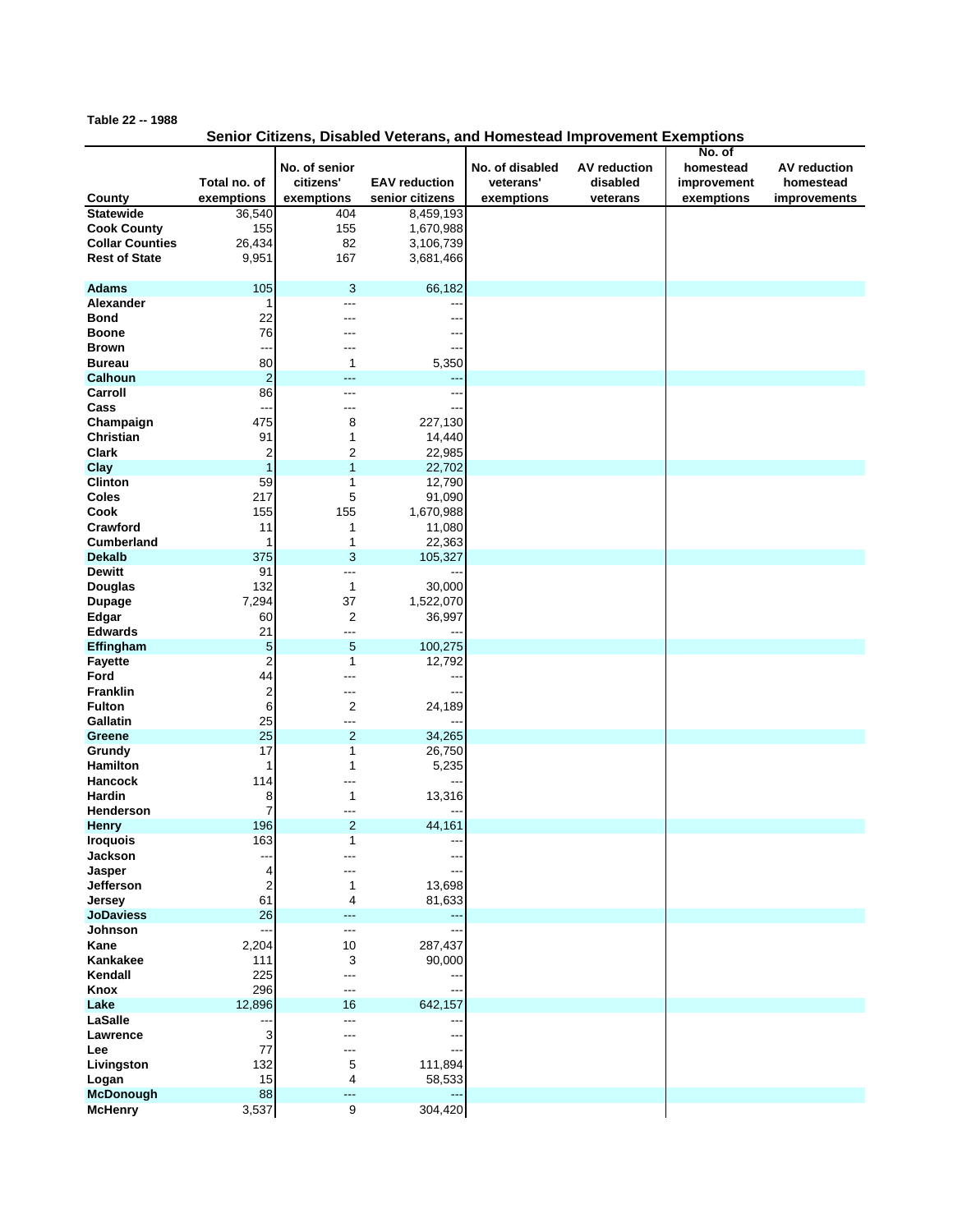## **Table 22 -- 1988**

## **Senior Citizens, Disabled Veterans, and Homestead Improvement Exemptions**

|                                    |                         |                |                      |                 |              | No. of      |                     |
|------------------------------------|-------------------------|----------------|----------------------|-----------------|--------------|-------------|---------------------|
|                                    |                         | No. of senior  |                      | No. of disabled | AV reduction | homestead   | <b>AV</b> reduction |
|                                    | Total no. of            | citizens'      | <b>EAV</b> reduction | veterans'       | disabled     | improvement | homestead           |
| County                             | exemptions              | exemptions     | senior citizens      | exemptions      | veterans     | exemptions  | improvements        |
| <b>Statewide</b>                   | 36,540                  | 404            | 8,459,193            |                 |              |             |                     |
| <b>Cook County</b>                 | 155                     | 155            | 1,670,988            |                 |              |             |                     |
| <b>Collar Counties</b>             | 26,434                  | 82             | 3,106,739            |                 |              |             |                     |
| <b>Rest of State</b>               | 9,951                   | 167            | 3,681,466            |                 |              |             |                     |
| <b>Adams</b>                       | 105                     | 3              | 66,182               |                 |              |             |                     |
| Alexander                          | 1                       | ---            |                      |                 |              |             |                     |
| <b>Bond</b>                        | 22                      |                |                      |                 |              |             |                     |
| <b>Boone</b>                       | 76                      | ---            |                      |                 |              |             |                     |
| <b>Brown</b>                       | ---                     | ---            | $-$                  |                 |              |             |                     |
| <b>Bureau</b>                      | 80                      | $\mathbf 1$    | 5,350                |                 |              |             |                     |
| Calhoun                            | $\overline{\mathbf{c}}$ | ---            | --                   |                 |              |             |                     |
| Carroll                            | 86                      | ---            | --                   |                 |              |             |                     |
| Cass                               | --                      | ---            |                      |                 |              |             |                     |
| Champaign                          | 475                     | 8              | 227,130              |                 |              |             |                     |
| Christian                          | 91                      | 1              | 14,440               |                 |              |             |                     |
| <b>Clark</b>                       | 2                       | 2              | 22,985               |                 |              |             |                     |
| Clay                               | 1                       | 1              | 22,702               |                 |              |             |                     |
| Clinton                            | 59                      | 1              | 12,790               |                 |              |             |                     |
| Coles                              | 217                     | 5              | 91,090               |                 |              |             |                     |
| Cook                               | 155                     | 155            | 1,670,988            |                 |              |             |                     |
| Crawford                           | 11                      | 1              | 11,080               |                 |              |             |                     |
| <b>Cumberland</b><br><b>Dekalb</b> | 1<br>375                | 1<br>3         | 22,363               |                 |              |             |                     |
| <b>Dewitt</b>                      | 91                      | ---            | 105,327              |                 |              |             |                     |
| Douglas                            | 132                     | $\mathbf{1}$   | 30,000               |                 |              |             |                     |
| <b>Dupage</b>                      | 7,294                   | 37             | 1,522,070            |                 |              |             |                     |
| Edgar                              | 60                      | $\overline{2}$ | 36,997               |                 |              |             |                     |
| <b>Edwards</b>                     | 21                      | ---            |                      |                 |              |             |                     |
| Effingham                          | 5                       | $\sqrt{5}$     | 100,275              |                 |              |             |                     |
| <b>Fayette</b>                     | $\overline{2}$          | 1              | 12,792               |                 |              |             |                     |
| Ford                               | 44                      | ---            |                      |                 |              |             |                     |
| <b>Franklin</b>                    | 2                       | ---            | --                   |                 |              |             |                     |
| <b>Fulton</b>                      | 6                       | $\overline{2}$ | 24,189               |                 |              |             |                     |
| Gallatin                           | 25                      | ---            | --                   |                 |              |             |                     |
| Greene                             | 25                      | $\overline{2}$ | 34,265               |                 |              |             |                     |
| Grundy                             | 17                      | 1              | 26,750               |                 |              |             |                     |
| <b>Hamilton</b>                    | 1                       | 1              | 5,235                |                 |              |             |                     |
| Hancock                            | 114                     | ---            |                      |                 |              |             |                     |
| <b>Hardin</b>                      | 8                       | 1              | 13,316               |                 |              |             |                     |
| <b>Henderson</b>                   | 7                       | ---            |                      |                 |              |             |                     |
| Henry                              | 196                     | $\overline{2}$ | 44,161               |                 |              |             |                     |
| <b>Iroquois</b>                    | 163                     | 1              |                      |                 |              |             |                     |
| Jackson                            | ---                     | ---            | ---                  |                 |              |             |                     |
| Jasper                             | 4                       | ---            | --                   |                 |              |             |                     |
| Jefferson                          | $\overline{\mathbf{c}}$ | 1              | 13,698               |                 |              |             |                     |
| Jersey                             | 61                      | 4              | 81,633               |                 |              |             |                     |
| <b>JoDaviess</b>                   | 26                      | ---            | ---                  |                 |              |             |                     |
| Johnson                            |                         | ---            | 287,437              |                 |              |             |                     |
| Kane                               | 2,204                   | 10             |                      |                 |              |             |                     |
| Kankakee<br>Kendall                | 111                     | 3              | 90,000               |                 |              |             |                     |
| Knox                               | 225<br>296              | ---            |                      |                 |              |             |                     |
| Lake                               | 12,896                  | ---<br>16      | 642,157              |                 |              |             |                     |
| LaSalle                            | ---                     | ---            |                      |                 |              |             |                     |
| Lawrence                           | 3                       | ---            |                      |                 |              |             |                     |
| Lee                                | 77                      | ---            | ---                  |                 |              |             |                     |
| Livingston                         | 132                     | 5              | 111,894              |                 |              |             |                     |
| Logan                              | 15                      | 4              | 58,533               |                 |              |             |                     |
| <b>McDonough</b>                   | 88                      | ---            | ---                  |                 |              |             |                     |
| <b>McHenry</b>                     | 3,537                   | 9              | 304,420              |                 |              |             |                     |